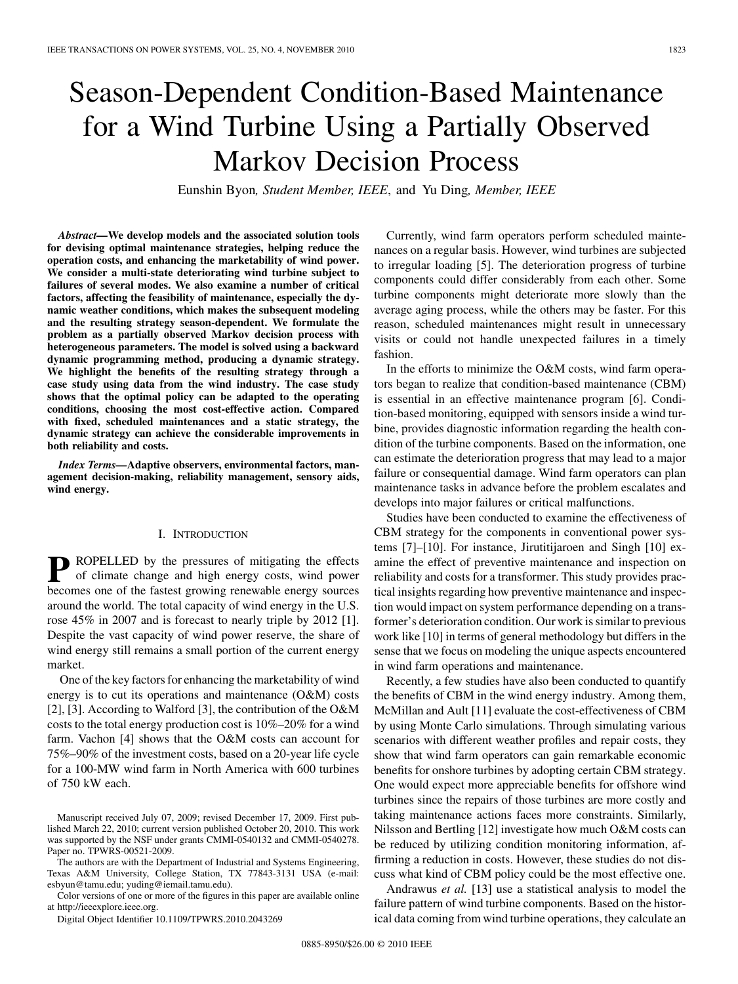# Season-Dependent Condition-Based Maintenance for a Wind Turbine Using a Partially Observed Markov Decision Process

Eunshin Byon*, Student Member, IEEE*, and Yu Ding*, Member, IEEE*

*Abstract—***We develop models and the associated solution tools for devising optimal maintenance strategies, helping reduce the operation costs, and enhancing the marketability of wind power. We consider a multi-state deteriorating wind turbine subject to failures of several modes. We also examine a number of critical factors, affecting the feasibility of maintenance, especially the dynamic weather conditions, which makes the subsequent modeling and the resulting strategy season-dependent. We formulate the problem as a partially observed Markov decision process with heterogeneous parameters. The model is solved using a backward dynamic programming method, producing a dynamic strategy. We highlight the benefits of the resulting strategy through a case study using data from the wind industry. The case study shows that the optimal policy can be adapted to the operating conditions, choosing the most cost-effective action. Compared with fixed, scheduled maintenances and a static strategy, the dynamic strategy can achieve the considerable improvements in both reliability and costs.**

*Index Terms—***Adaptive observers, environmental factors, management decision-making, reliability management, sensory aids, wind energy.**

# I. INTRODUCTION

**P** ROPELLED by the pressures of mitigating the effects of climate change and high energy costs, wind power becomes one of the fastest growing renewable energy sources around the world. The total capacity of wind energy in the U.S. rose 45% in 2007 and is forecast to nearly triple by 2012 [1]. Despite the vast capacity of wind power reserve, the share of wind energy still remains a small portion of the current energy market.

One of the key factors for enhancing the marketability of wind energy is to cut its operations and maintenance (O&M) costs [2], [3]. According to Walford [3], the contribution of the O&M costs to the total energy production cost is 10%–20% for a wind farm. Vachon [4] shows that the O&M costs can account for 75%–90% of the investment costs, based on a 20-year life cycle for a 100-MW wind farm in North America with 600 turbines of 750 kW each.

The authors are with the Department of Industrial and Systems Engineering, Texas A&M University, College Station, TX 77843-3131 USA (e-mail: esbyun@tamu.edu; yuding@iemail.tamu.edu).

Color versions of one or more of the figures in this paper are available online at http://ieeexplore.ieee.org.

Digital Object Identifier 10.1109/TPWRS.2010.2043269

Currently, wind farm operators perform scheduled maintenances on a regular basis. However, wind turbines are subjected to irregular loading [5]. The deterioration progress of turbine components could differ considerably from each other. Some turbine components might deteriorate more slowly than the average aging process, while the others may be faster. For this reason, scheduled maintenances might result in unnecessary visits or could not handle unexpected failures in a timely fashion.

In the efforts to minimize the O&M costs, wind farm operators began to realize that condition-based maintenance (CBM) is essential in an effective maintenance program [6]. Condition-based monitoring, equipped with sensors inside a wind turbine, provides diagnostic information regarding the health condition of the turbine components. Based on the information, one can estimate the deterioration progress that may lead to a major failure or consequential damage. Wind farm operators can plan maintenance tasks in advance before the problem escalates and develops into major failures or critical malfunctions.

Studies have been conducted to examine the effectiveness of CBM strategy for the components in conventional power systems [7]–[10]. For instance, Jirutitijaroen and Singh [10] examine the effect of preventive maintenance and inspection on reliability and costs for a transformer. This study provides practical insights regarding how preventive maintenance and inspection would impact on system performance depending on a transformer's deterioration condition. Our work is similar to previous work like [10] in terms of general methodology but differs in the sense that we focus on modeling the unique aspects encountered in wind farm operations and maintenance.

Recently, a few studies have also been conducted to quantify the benefits of CBM in the wind energy industry. Among them, McMillan and Ault [11] evaluate the cost-effectiveness of CBM by using Monte Carlo simulations. Through simulating various scenarios with different weather profiles and repair costs, they show that wind farm operators can gain remarkable economic benefits for onshore turbines by adopting certain CBM strategy. One would expect more appreciable benefits for offshore wind turbines since the repairs of those turbines are more costly and taking maintenance actions faces more constraints. Similarly, Nilsson and Bertling [12] investigate how much O&M costs can be reduced by utilizing condition monitoring information, affirming a reduction in costs. However, these studies do not discuss what kind of CBM policy could be the most effective one.

Andrawus *et al.* [13] use a statistical analysis to model the failure pattern of wind turbine components. Based on the historical data coming from wind turbine operations, they calculate an

Manuscript received July 07, 2009; revised December 17, 2009. First published March 22, 2010; current version published October 20, 2010. This work was supported by the NSF under grants CMMI-0540132 and CMMI-0540278. Paper no. TPWRS-00521-2009.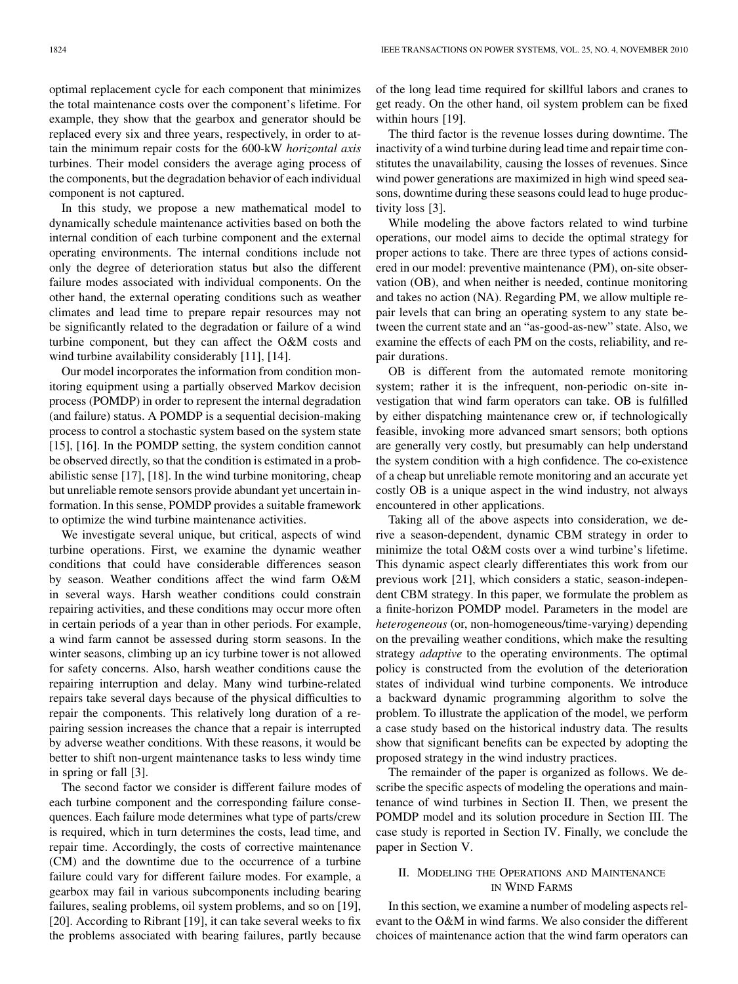optimal replacement cycle for each component that minimizes the total maintenance costs over the component's lifetime. For example, they show that the gearbox and generator should be replaced every six and three years, respectively, in order to attain the minimum repair costs for the 600-kW *horizontal axis* turbines. Their model considers the average aging process of the components, but the degradation behavior of each individual component is not captured.

In this study, we propose a new mathematical model to dynamically schedule maintenance activities based on both the internal condition of each turbine component and the external operating environments. The internal conditions include not only the degree of deterioration status but also the different failure modes associated with individual components. On the other hand, the external operating conditions such as weather climates and lead time to prepare repair resources may not be significantly related to the degradation or failure of a wind turbine component, but they can affect the O&M costs and wind turbine availability considerably [11], [14].

Our model incorporates the information from condition monitoring equipment using a partially observed Markov decision process (POMDP) in order to represent the internal degradation (and failure) status. A POMDP is a sequential decision-making process to control a stochastic system based on the system state [15], [16]. In the POMDP setting, the system condition cannot be observed directly, so that the condition is estimated in a probabilistic sense [17], [18]. In the wind turbine monitoring, cheap but unreliable remote sensors provide abundant yet uncertain information. In this sense, POMDP provides a suitable framework to optimize the wind turbine maintenance activities.

We investigate several unique, but critical, aspects of wind turbine operations. First, we examine the dynamic weather conditions that could have considerable differences season by season. Weather conditions affect the wind farm O&M in several ways. Harsh weather conditions could constrain repairing activities, and these conditions may occur more often in certain periods of a year than in other periods. For example, a wind farm cannot be assessed during storm seasons. In the winter seasons, climbing up an icy turbine tower is not allowed for safety concerns. Also, harsh weather conditions cause the repairing interruption and delay. Many wind turbine-related repairs take several days because of the physical difficulties to repair the components. This relatively long duration of a repairing session increases the chance that a repair is interrupted by adverse weather conditions. With these reasons, it would be better to shift non-urgent maintenance tasks to less windy time in spring or fall [3].

The second factor we consider is different failure modes of each turbine component and the corresponding failure consequences. Each failure mode determines what type of parts/crew is required, which in turn determines the costs, lead time, and repair time. Accordingly, the costs of corrective maintenance (CM) and the downtime due to the occurrence of a turbine failure could vary for different failure modes. For example, a gearbox may fail in various subcomponents including bearing failures, sealing problems, oil system problems, and so on [19], [20]. According to Ribrant [19], it can take several weeks to fix the problems associated with bearing failures, partly because of the long lead time required for skillful labors and cranes to get ready. On the other hand, oil system problem can be fixed within hours [19].

The third factor is the revenue losses during downtime. The inactivity of a wind turbine during lead time and repair time constitutes the unavailability, causing the losses of revenues. Since wind power generations are maximized in high wind speed seasons, downtime during these seasons could lead to huge productivity loss [3].

While modeling the above factors related to wind turbine operations, our model aims to decide the optimal strategy for proper actions to take. There are three types of actions considered in our model: preventive maintenance (PM), on-site observation (OB), and when neither is needed, continue monitoring and takes no action (NA). Regarding PM, we allow multiple repair levels that can bring an operating system to any state between the current state and an "as-good-as-new" state. Also, we examine the effects of each PM on the costs, reliability, and repair durations.

OB is different from the automated remote monitoring system; rather it is the infrequent, non-periodic on-site investigation that wind farm operators can take. OB is fulfilled by either dispatching maintenance crew or, if technologically feasible, invoking more advanced smart sensors; both options are generally very costly, but presumably can help understand the system condition with a high confidence. The co-existence of a cheap but unreliable remote monitoring and an accurate yet costly OB is a unique aspect in the wind industry, not always encountered in other applications.

Taking all of the above aspects into consideration, we derive a season-dependent, dynamic CBM strategy in order to minimize the total O&M costs over a wind turbine's lifetime. This dynamic aspect clearly differentiates this work from our previous work [21], which considers a static, season-independent CBM strategy. In this paper, we formulate the problem as a finite-horizon POMDP model. Parameters in the model are *heterogeneous* (or, non-homogeneous/time-varying) depending on the prevailing weather conditions, which make the resulting strategy *adaptive* to the operating environments. The optimal policy is constructed from the evolution of the deterioration states of individual wind turbine components. We introduce a backward dynamic programming algorithm to solve the problem. To illustrate the application of the model, we perform a case study based on the historical industry data. The results show that significant benefits can be expected by adopting the proposed strategy in the wind industry practices.

The remainder of the paper is organized as follows. We describe the specific aspects of modeling the operations and maintenance of wind turbines in Section II. Then, we present the POMDP model and its solution procedure in Section III. The case study is reported in Section IV. Finally, we conclude the paper in Section V.

# II. MODELING THE OPERATIONS AND MAINTENANCE IN WIND FARMS

In this section, we examine a number of modeling aspects relevant to the O&M in wind farms. We also consider the different choices of maintenance action that the wind farm operators can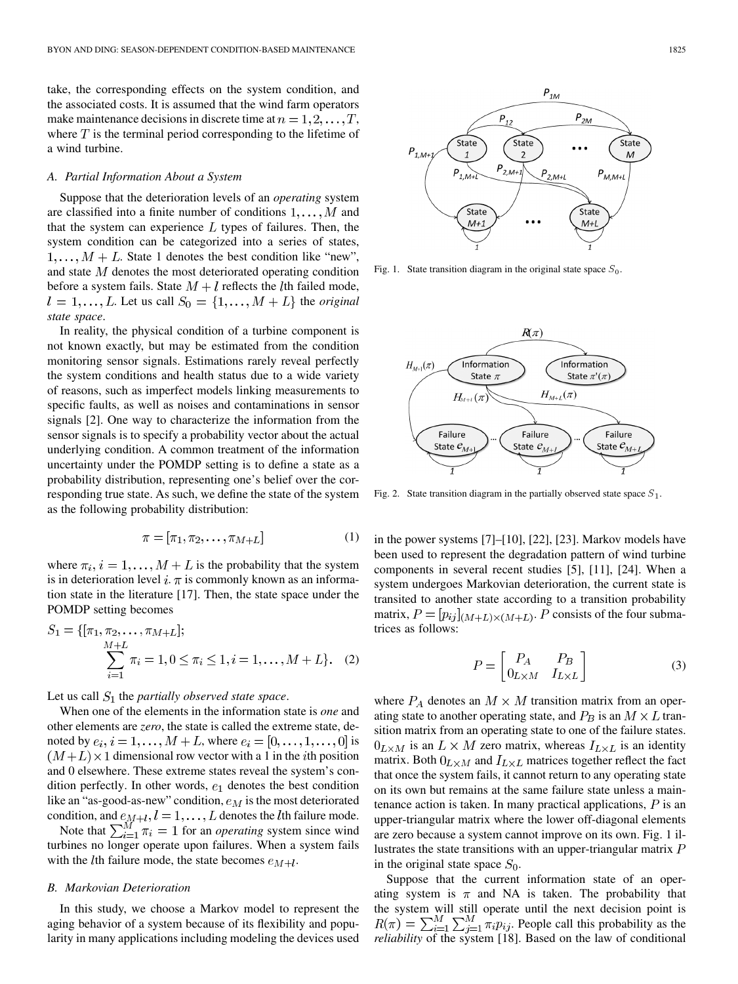take, the corresponding effects on the system condition, and the associated costs. It is assumed that the wind farm operators make maintenance decisions in discrete time at  $n = 1, 2, \dots, T$ , where  $T$  is the terminal period corresponding to the lifetime of a wind turbine.

## *A. Partial Information About a System*

Suppose that the deterioration levels of an *operating* system are classified into a finite number of conditions  $1, \ldots, M$  and that the system can experience  $L$  types of failures. Then, the system condition can be categorized into a series of states,  $1, \ldots, M + L$ . State 1 denotes the best condition like "new", and state  $M$  denotes the most deteriorated operating condition before a system fails. State  $M + l$  reflects the lth failed mode,  $l = 1, \ldots, L$ . Let us call  $S_0 = \{1, \ldots, M + L\}$  the *original state space*.

In reality, the physical condition of a turbine component is not known exactly, but may be estimated from the condition monitoring sensor signals. Estimations rarely reveal perfectly the system conditions and health status due to a wide variety of reasons, such as imperfect models linking measurements to specific faults, as well as noises and contaminations in sensor signals [2]. One way to characterize the information from the sensor signals is to specify a probability vector about the actual underlying condition. A common treatment of the information uncertainty under the POMDP setting is to define a state as a probability distribution, representing one's belief over the corresponding true state. As such, we define the state of the system as the following probability distribution:

$$
\pi = [\pi_1, \pi_2, \dots, \pi_{M+L}] \tag{1}
$$

where  $\pi_i$ ,  $i = 1, \ldots, M + L$  is the probability that the system is in deterioration level  $i$ .  $\pi$  is commonly known as an information state in the literature [17]. Then, the state space under the POMDP setting becomes

$$
S_1 = \{[\pi_1, \pi_2, \dots, \pi_{M+L}];
$$
  
\n
$$
\sum_{i=1}^{M+L} \pi_i = 1, 0 \le \pi_i \le 1, i = 1, \dots, M+L\}.
$$
 (2)

Let us call  $S_1$  the *partially observed state space*.

When one of the elements in the information state is *one* and other elements are *zero*, the state is called the extreme state, denoted by  $e_i$ ,  $i = 1, ..., M + L$ , where  $e_i = [0, ..., 1, ..., 0]$  is  $(M+L) \times 1$  dimensional row vector with a 1 in the *i*th position and 0 elsewhere. These extreme states reveal the system's condition perfectly. In other words,  $e_1$  denotes the best condition like an "as-good-as-new" condition,  $e_M$  is the most deteriorated condition, and  $e_{M+l}$ ,  $l = 1, ..., L$  denotes the *l*th failure mode. Note that  $\sum_{i=1}^{M} \pi_i = 1$  for an *operating* system since wind turbines no longer operate upon failures. When a system fails with the *l*th failure mode, the state becomes  $e_{M+l}$ .

#### *B. Markovian Deterioration*

In this study, we choose a Markov model to represent the aging behavior of a system because of its flexibility and popularity in many applications including modeling the devices used



Fig. 1. State transition diagram in the original state space  $S_0$ .



Fig. 2. State transition diagram in the partially observed state space  $S_1$ .

in the power systems [7]–[10], [22], [23]. Markov models have been used to represent the degradation pattern of wind turbine components in several recent studies [5], [11], [24]. When a system undergoes Markovian deterioration, the current state is transited to another state according to a transition probability matrix,  $P = [p_{ij}]_{(M+L)\times(M+L)}$ . P consists of the four submatrices as follows:

$$
P = \begin{bmatrix} P_A & P_B \\ 0_{L \times M} & I_{L \times L} \end{bmatrix} \tag{3}
$$

where  $P_A$  denotes an  $M \times M$  transition matrix from an operating state to another operating state, and  $P_B$  is an  $M \times L$  transition matrix from an operating state to one of the failure states.  $0_{L\times M}$  is an  $L\times M$  zero matrix, whereas  $I_{L\times L}$  is an identity matrix. Both  $0_{L \times M}$  and  $I_{L \times L}$  matrices together reflect the fact that once the system fails, it cannot return to any operating state on its own but remains at the same failure state unless a maintenance action is taken. In many practical applications,  $P$  is an upper-triangular matrix where the lower off-diagonal elements are zero because a system cannot improve on its own. Fig. 1 illustrates the state transitions with an upper-triangular matrix  $P$ in the original state space  $S_0$ .

Suppose that the current information state of an operating system is  $\pi$  and NA is taken. The probability that the system will still operate until the next decision point is  $R(\pi) = \sum_{i=1}^{M} \sum_{j=1}^{M} \pi_i p_{ij}$ . People call this probability as the *reliability* of the system [18]. Based on the law of conditional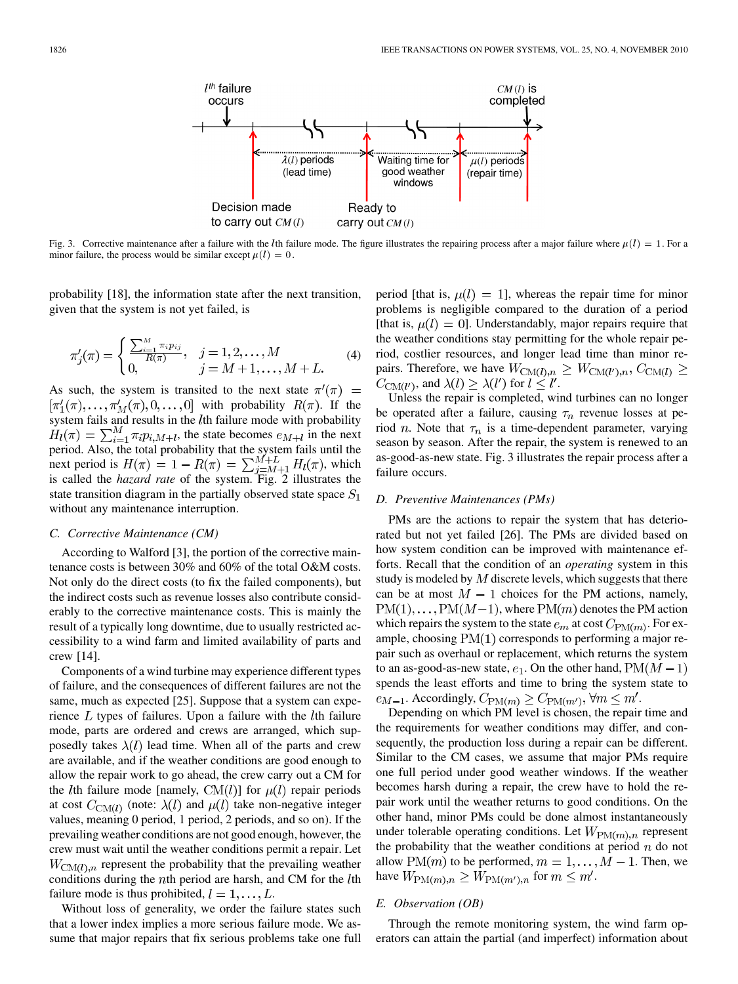

Fig. 3. Corrective maintenance after a failure with the *l*th failure mode. The figure illustrates the repairing process after a major failure where  $\mu(l) = 1$ . For a minor failure, the process would be similar except  $\mu(l) = 0$ .

probability [18], the information state after the next transition, given that the system is not yet failed, is

$$
\pi'_{j}(\pi) = \begin{cases} \frac{\sum_{i=1}^{M} \pi_{i} p_{ij}}{R(\pi)}, & j = 1, 2, ..., M \\ 0, & j = M + 1, ..., M + L. \end{cases}
$$
 (4)

As such, the system is transited to the next state  $\pi'(\pi)$  =  $[\pi'_1(\pi), \ldots, \pi'_M(\pi), 0, \ldots, 0]$  with probability  $R(\pi)$ . If the system fails and results in the  $l$ th failure mode with probability , the state becomes  $e_{M+l}$  in the next period. Also, the total probability that the system fails until the next period is  $H(\pi) = 1 - R(\pi) = \sum_{i=M+1}^{M+L} H_i(\pi)$ , which is called the *hazard rate* of the system. Fig. 2 illustrates the state transition diagram in the partially observed state space  $S_1$ without any maintenance interruption.

#### *C. Corrective Maintenance (CM)*

According to Walford [3], the portion of the corrective maintenance costs is between 30% and 60% of the total O&M costs. Not only do the direct costs (to fix the failed components), but the indirect costs such as revenue losses also contribute considerably to the corrective maintenance costs. This is mainly the result of a typically long downtime, due to usually restricted accessibility to a wind farm and limited availability of parts and crew [14].

Components of a wind turbine may experience different types of failure, and the consequences of different failures are not the same, much as expected [25]. Suppose that a system can experience  $L$  types of failures. Upon a failure with the  $l$ th failure mode, parts are ordered and crews are arranged, which supposedly takes  $\lambda(l)$  lead time. When all of the parts and crew are available, and if the weather conditions are good enough to allow the repair work to go ahead, the crew carry out a CM for the *l*th failure mode [namely,  $CM(l)$ ] for  $\mu(l)$  repair periods at cost  $C_{\text{CM}(l)}$  (note:  $\lambda(l)$  and  $\mu(l)$  take non-negative integer values, meaning 0 period, 1 period, 2 periods, and so on). If the prevailing weather conditions are not good enough, however, the crew must wait until the weather conditions permit a repair. Let  $W_{\text{CM}(l),n}$  represent the probability that the prevailing weather conditions during the  $n$ th period are harsh, and CM for the  $l$ th failure mode is thus prohibited,  $l = 1, \ldots, L$ .

Without loss of generality, we order the failure states such that a lower index implies a more serious failure mode. We assume that major repairs that fix serious problems take one full period [that is,  $\mu(l) = 1$ ], whereas the repair time for minor problems is negligible compared to the duration of a period [that is,  $\mu(l) = 0$ ]. Understandably, major repairs require that the weather conditions stay permitting for the whole repair period, costlier resources, and longer lead time than minor repairs. Therefore, we have  $W_{CM(l),n} \geq W_{CM(l'),n}, C_{CM(l)} \geq$  $C_{\text{CM}(l')}$ , and  $\lambda(l) \geq \lambda(l')$  for  $l \leq l'$ .

Unless the repair is completed, wind turbines can no longer be operated after a failure, causing  $\tau_n$  revenue losses at period *n*. Note that  $\tau_n$  is a time-dependent parameter, varying season by season. After the repair, the system is renewed to an as-good-as-new state. Fig. 3 illustrates the repair process after a failure occurs.

## *D. Preventive Maintenances (PMs)*

PMs are the actions to repair the system that has deteriorated but not yet failed [26]. The PMs are divided based on how system condition can be improved with maintenance efforts. Recall that the condition of an *operating* system in this study is modeled by  $M$  discrete levels, which suggests that there can be at most  $M - 1$  choices for the PM actions, namely,  $PM(1), \ldots, PM(M-1)$ , where  $PM(m)$  denotes the PM action which repairs the system to the state  $e_m$  at cost  $C_{\text{PM}(m)}$ . For example, choosing  $PM(1)$  corresponds to performing a major repair such as overhaul or replacement, which returns the system to an as-good-as-new state,  $e_1$ . On the other hand,  $PM(M-1)$ spends the least efforts and time to bring the system state to  $e_{M-1}$ . Accordingly,  $C_{\text{PM}(m)} \geq C_{\text{PM}(m')}$ ,  $\forall m \leq m'$ .

Depending on which PM level is chosen, the repair time and the requirements for weather conditions may differ, and consequently, the production loss during a repair can be different. Similar to the CM cases, we assume that major PMs require one full period under good weather windows. If the weather becomes harsh during a repair, the crew have to hold the repair work until the weather returns to good conditions. On the other hand, minor PMs could be done almost instantaneously under tolerable operating conditions. Let  $W_{\text{PM}(m),n}$  represent the probability that the weather conditions at period  $n$  do not allow  $PM(m)$  to be performed,  $m = 1, \ldots, M - 1$ . Then, we have  $W_{\text{PM}(m),n} \geq W_{\text{PM}(m'),n}$  for  $m \leq m'.$ 

# *E. Observation (OB)*

Through the remote monitoring system, the wind farm operators can attain the partial (and imperfect) information about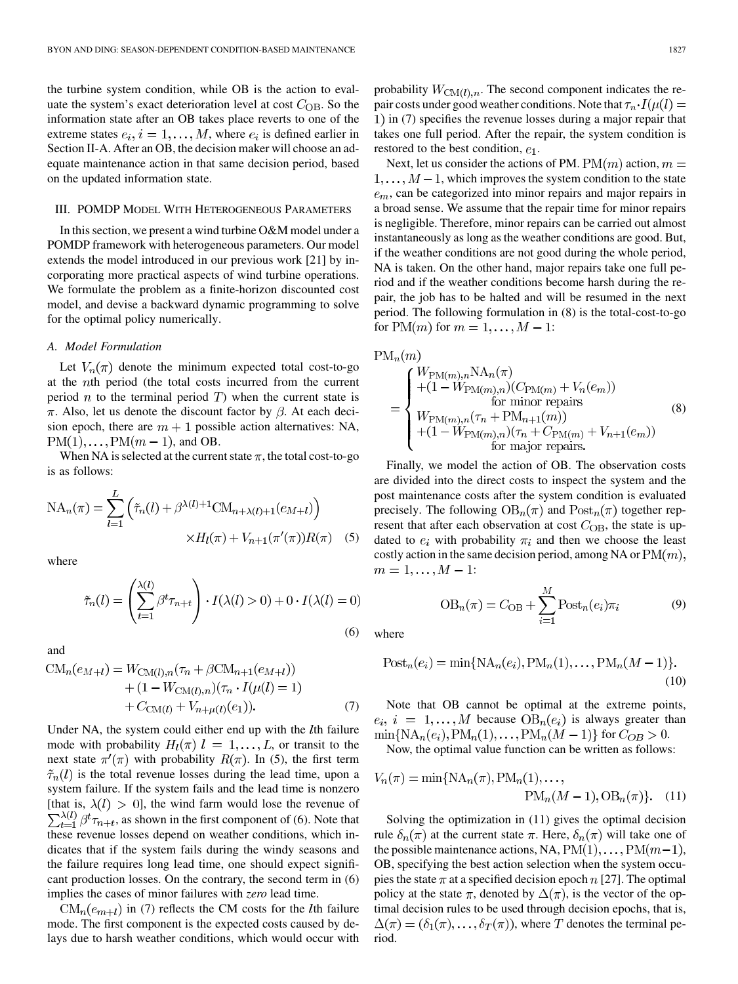the turbine system condition, while OB is the action to evaluate the system's exact deterioration level at cost  $C_{OB}$ . So the information state after an OB takes place reverts to one of the extreme states  $e_i$ ,  $i = 1, ..., M$ , where  $e_i$  is defined earlier in Section II-A. After an OB, the decision maker will choose an adequate maintenance action in that same decision period, based on the updated information state.

## III. POMDP MODEL WITH HETEROGENEOUS PARAMETERS

In this section, we present a wind turbine O&M model under a POMDP framework with heterogeneous parameters. Our model extends the model introduced in our previous work [21] by incorporating more practical aspects of wind turbine operations. We formulate the problem as a finite-horizon discounted cost model, and devise a backward dynamic programming to solve for the optimal policy numerically.

#### *A. Model Formulation*

Let  $V_n(\pi)$  denote the minimum expected total cost-to-go at the *n*th period (the total costs incurred from the current period  $n$  to the terminal period  $T$ ) when the current state is  $\pi$ . Also, let us denote the discount factor by  $\beta$ . At each decision epoch, there are  $m + 1$  possible action alternatives: NA,  $PM(1), \ldots, PM(m-1)$ , and OB.

When NA is selected at the current state  $\pi$ , the total cost-to-go is as follows:

$$
NA_n(\pi) = \sum_{l=1}^{L} \left( \tilde{\tau}_n(l) + \beta^{\lambda(l)+1} CM_{n+\lambda(l)+1}(e_{M+l}) \right)
$$

$$
\times H_l(\pi) + V_{n+1}(\pi'(\pi))R(\pi) \quad (5)
$$

where

$$
\tilde{\tau}_n(l) = \left(\sum_{t=1}^{\lambda(l)} \beta^t \tau_{n+t}\right) \cdot I(\lambda(l) > 0) + 0 \cdot I(\lambda(l) = 0)
$$
\n(6)

and

$$
CM_n(e_{M+l}) = W_{CM(l),n}(\tau_n + \beta CM_{n+1}(e_{M+l})) + (1 - W_{CM(l),n})(\tau_n \cdot I(\mu(l) = 1) + C_{CM(l)} + V_{n+\mu(l)}(e_1)).
$$
 (7)

Under NA, the system could either end up with the  $l$ th failure mode with probability  $H_l(\pi)$   $l = 1, \dots, L$ , or transit to the next state  $\pi'(\pi)$  with probability  $R(\pi)$ . In (5), the first term  $\tilde{\tau}_n(l)$  is the total revenue losses during the lead time, upon a system failure. If the system fails and the lead time is nonzero [that is,  $\lambda(l) > 0$ ], the wind farm would lose the revenue of  $\sum_{t=1}^{\lambda(l)} \beta^t \tau_{n+t}$ , as shown in the first component of (6). Note that these revenue losses depend on weather conditions, which indicates that if the system fails during the windy seasons and the failure requires long lead time, one should expect significant production losses. On the contrary, the second term in (6) implies the cases of minor failures with *zero* lead time.

 $CM_n(e_{m+l})$  in (7) reflects the CM costs for the *l*th failure mode. The first component is the expected costs caused by delays due to harsh weather conditions, which would occur with probability  $W_{\text{CM}(l),n}$ . The second component indicates the repair costs under good weather conditions. Note that  $\tau_n \cdot I(\mu(l)) =$ 1) in (7) specifies the revenue losses during a major repair that takes one full period. After the repair, the system condition is restored to the best condition,  $e_1$ .

Next, let us consider the actions of PM.  $PM(m)$  action,  $m =$  $1, \ldots, M-1$ , which improves the system condition to the state  $e<sub>m</sub>$ , can be categorized into minor repairs and major repairs in a broad sense. We assume that the repair time for minor repairs is negligible. Therefore, minor repairs can be carried out almost instantaneously as long as the weather conditions are good. But, if the weather conditions are not good during the whole period, NA is taken. On the other hand, major repairs take one full period and if the weather conditions become harsh during the repair, the job has to be halted and will be resumed in the next period. The following formulation in (8) is the total-cost-to-go for PM $(m)$  for  $m = 1, \ldots, M - 1$ :

$$
PM_n(m)
$$
  
= 
$$
\begin{cases} W_{PM(m),n}NA_n(\pi) \\ +(1 - W_{PM(m),n})(C_{PM(m)} + V_n(e_m)) \\ \text{for minor repairs} \\ W_{PM(m),n}(\tau_n + PM_{n+1}(m)) \\ +(1 - W_{PM(m),n})(\tau_n + C_{PM(m)} + V_{n+1}(e_m)) \\ \text{for major repairs.} \end{cases}
$$
(8)

Finally, we model the action of OB. The observation costs are divided into the direct costs to inspect the system and the post maintenance costs after the system condition is evaluated precisely. The following  $OB_n(\pi)$  and  $Post_n(\pi)$  together represent that after each observation at cost  $C_{OB}$ , the state is updated to  $e_i$  with probability  $\pi_i$  and then we choose the least costly action in the same decision period, among NA or  $PM(m)$ ,  $m = 1, ..., M - 1$ :

$$
OB_n(\pi) = C_{OB} + \sum_{i=1}^{M} Post_n(e_i)\pi_i
$$
 (9)

where

$$
Postn(ei) = min{NAn(ei), PMn(1),...,PMn(M-1)}.
$$
\n(10)

Note that OB cannot be optimal at the extreme points,  $e_i$ ,  $i = 1,...,M$  because  $OB_n(e_i)$  is always greater than  $\min\{NA_n(e_i), PM_n(1), \ldots, PM_n(M-1)\}\$ for  $C_{OB} > 0$ . Now, the optimal value function can be written as follows:

$$
V_n(\pi) = \min\{NA_n(\pi), PM_n(1), \dots, \text{PM}_n(M-1), OB_n(\pi)\}.
$$
 (11)

Solving the optimization in (11) gives the optimal decision rule  $\delta_n(\pi)$  at the current state  $\pi$ . Here,  $\delta_n(\pi)$  will take one of the possible maintenance actions, NA,  $PM(1), \ldots, PM(m-1)$ , OB, specifying the best action selection when the system occupies the state  $\pi$  at a specified decision epoch  $n$  [27]. The optimal policy at the state  $\pi$ , denoted by  $\Delta(\pi)$ , is the vector of the optimal decision rules to be used through decision epochs, that is,  $\Delta(\pi) = (\delta_1(\pi), \ldots, \delta_T(\pi))$ , where T denotes the terminal period.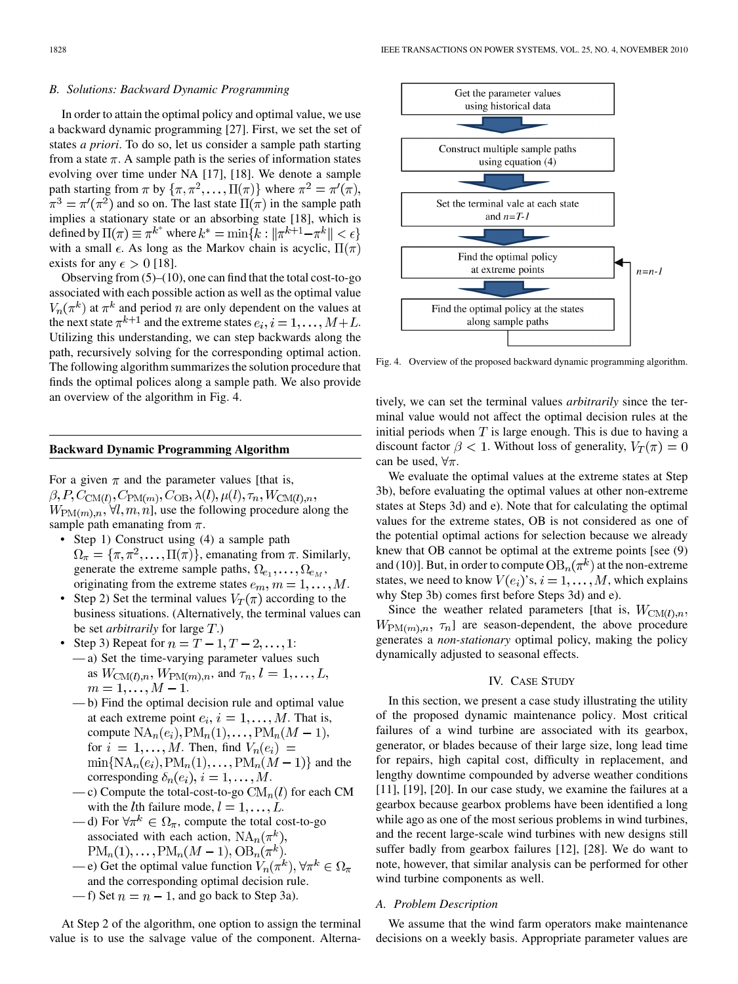#### *B. Solutions: Backward Dynamic Programming*

In order to attain the optimal policy and optimal value, we use a backward dynamic programming [27]. First, we set the set of states *a priori*. To do so, let us consider a sample path starting from a state  $\pi$ . A sample path is the series of information states evolving over time under NA [17], [18]. We denote a sample path starting from  $\pi$  by  $\{\pi, \pi^2, \dots, \Pi(\pi)\}\$  where  $\pi^2 = \pi'(\pi)$ ,  $\pi^3 = \pi'(\pi^2)$  and so on. The last state  $\Pi(\pi)$  in the sample path implies a stationary state or an absorbing state [18], which is defined by  $\Pi(\pi) \equiv \pi^{k^*}$  where  $k^* = \min\{k : ||\pi^{k+1} - \pi^k|| < \epsilon\}$ with a small  $\epsilon$ . As long as the Markov chain is acyclic,  $\Pi(\pi)$ exists for any  $\epsilon > 0$  [18].

Observing from  $(5)$ – $(10)$ , one can find that the total cost-to-go associated with each possible action as well as the optimal value  $V_n(\pi^k)$  at  $\pi^k$  and period n are only dependent on the values at the next state  $\pi^{k+1}$  and the extreme states  $e_i$ ,  $i = 1, ..., M+L$ . Utilizing this understanding, we can step backwards along the path, recursively solving for the corresponding optimal action. The following algorithm summarizes the solution procedure that finds the optimal polices along a sample path. We also provide an overview of the algorithm in Fig. 4.

# **Backward Dynamic Programming Algorithm**

For a given  $\pi$  and the parameter values [that is,  $\beta, P, C_{\text{CM}(l)}, C_{\text{PM}(m)}, C_{\text{OB}}, \lambda(l), \mu(l), \tau_n, W_{\text{CM}(l),n},$  $W_{\text{PM}(m),n}$ ,  $\forall l, m, n$ ], use the following procedure along the sample path emanating from  $\pi$ .

- Step 1) Construct using (4) a sample path  $\Omega_{\pi} = {\pi, \pi^2, \dots, \Pi(\pi)}$ , emanating from  $\pi$ . Similarly, generate the extreme sample paths,  $\Omega_{e_1}, \ldots, \Omega_{e_M}$ , originating from the extreme states  $e_m$ ,  $m = 1, \ldots, M$ .
- Step 2) Set the terminal values  $V_T(\pi)$  according to the business situations. (Alternatively, the terminal values can be set *arbitrarily* for large  $T$ .)
- Step 3) Repeat for  $n = T 1, T 2, \ldots, 1$ : — a) Set the time-varying parameter values such as  $W_{\text{CM}(l),n}$ ,  $W_{\text{PM}(m),n}$ , and  $\tau_n$ ,  $l = 1, \ldots, L$ ,
	- $m = 1, ..., M 1.$ — b) Find the optimal decision rule and optimal value at each extreme point  $e_i$ ,  $i = 1, \ldots, M$ . That is, compute  $NA_n(e_i), PM_n(1), \ldots, PM_n(M-1),$ for  $i = 1, \ldots, M$ . Then, find  $V_n(e_i)$  =  $\min\{NA_n(e_i), PM_n(1), \ldots, PM_n(M-1)\}\$  and the corresponding  $\delta_n(e_i)$ ,  $i = 1, \ldots, M$ .
	- c) Compute the total-cost-to-go  $CM_n(l)$  for each CM with the *l*th failure mode,  $l = 1, \ldots, L$ .
	- d) For  $\forall \pi^k \in \Omega_\pi$ , compute the total cost-to-go associated with each action,  $NA_n(\pi^k)$ ,  $PM_n(1), \ldots, PM_n(M-1), OB_n(\pi^k).$
	- e) Get the optimal value function  $V_n(\pi^k)$ ,  $\forall \pi^k \in \Omega_{\pi}$ and the corresponding optimal decision rule.
	- f) Set  $n = n 1$ , and go back to Step 3a).

At Step 2 of the algorithm, one option to assign the terminal value is to use the salvage value of the component. Alterna-



Fig. 4. Overview of the proposed backward dynamic programming algorithm.

tively, we can set the terminal values *arbitrarily* since the terminal value would not affect the optimal decision rules at the initial periods when  $T$  is large enough. This is due to having a discount factor  $\beta$  < 1. Without loss of generality,  $V_T(\pi) = 0$ can be used,  $\forall \pi$ .

We evaluate the optimal values at the extreme states at Step 3b), before evaluating the optimal values at other non-extreme states at Steps 3d) and e). Note that for calculating the optimal values for the extreme states, OB is not considered as one of the potential optimal actions for selection because we already knew that OB cannot be optimal at the extreme points [see (9) and (10)]. But, in order to compute  $OB_n(\pi^k)$  at the non-extreme states, we need to know  $V(e_i)$ 's,  $i = 1, ..., M$ , which explains why Step 3b) comes first before Steps 3d) and e).

Since the weather related parameters [that is,  $W_{\text{CM}(l),n}$ ,  $W_{\text{PM}(m),n}$ ,  $\tau_n$ ] are season-dependent, the above procedure generates a *non-stationary* optimal policy, making the policy dynamically adjusted to seasonal effects.

#### IV. CASE STUDY

In this section, we present a case study illustrating the utility of the proposed dynamic maintenance policy. Most critical failures of a wind turbine are associated with its gearbox, generator, or blades because of their large size, long lead time for repairs, high capital cost, difficulty in replacement, and lengthy downtime compounded by adverse weather conditions [11], [19], [20]. In our case study, we examine the failures at a gearbox because gearbox problems have been identified a long while ago as one of the most serious problems in wind turbines, and the recent large-scale wind turbines with new designs still suffer badly from gearbox failures [12], [28]. We do want to note, however, that similar analysis can be performed for other wind turbine components as well.

#### *A. Problem Description*

We assume that the wind farm operators make maintenance decisions on a weekly basis. Appropriate parameter values are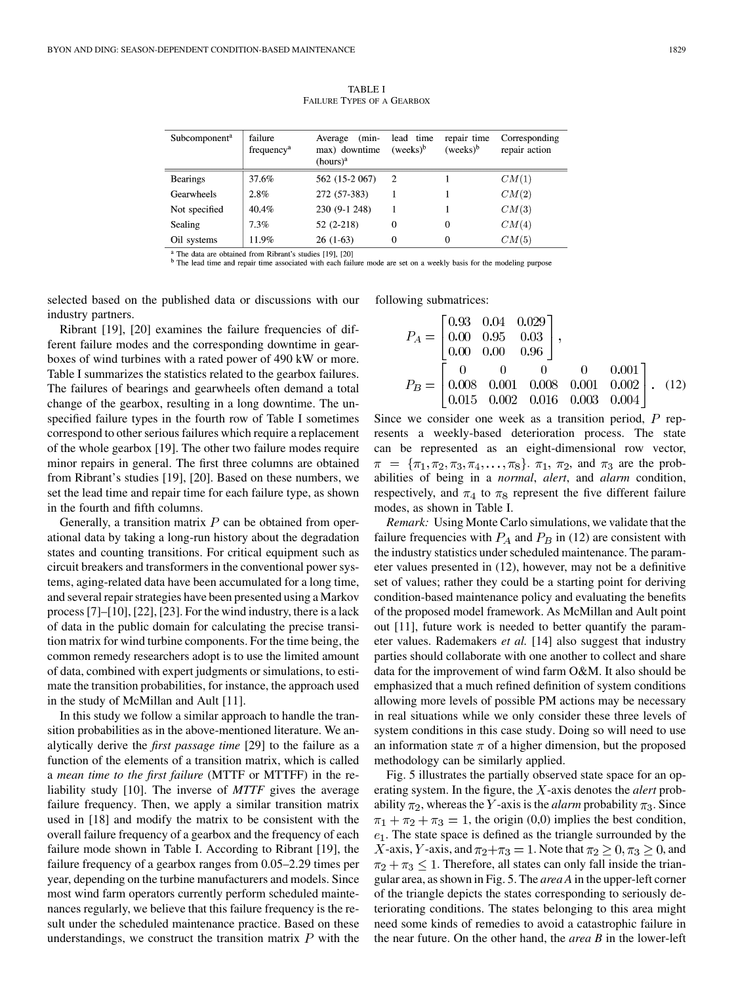| Subcomponent <sup>a</sup> | failure<br>frequency <sup>a</sup> | $(min-$<br>Average<br>max) downtime<br>(hours) <sup>a</sup> | lead time<br>$( weeks)^b$ | repair time<br>$( weeks)^b$ | Corresponding<br>repair action |
|---------------------------|-----------------------------------|-------------------------------------------------------------|---------------------------|-----------------------------|--------------------------------|
| <b>Bearings</b>           | 37.6%                             | 562 (15-2 067)                                              | $\overline{2}$            |                             | CM(1)                          |
| Gearwheels                | 2.8%                              | 272 (57-383)                                                |                           |                             | CM(2)                          |
| Not specified             | 40.4%                             | 230 (9-1 248)                                               |                           |                             | CM(3)                          |
| Sealing                   | 7.3%                              | $52(2-218)$                                                 | 0                         | $\mathbf{0}$                | CM(4)                          |
| Oil systems               | 11.9%                             | $26(1-63)$                                                  | $\Omega$                  | 0                           | CM(5)                          |

TABLE I FAILURE TYPES OF A GEARBOX

<sup>a</sup> The data are obtained from Ribrant's studies [19], [20] <sup>b</sup> The lead time and repair time associated with each failure mode are set on a weekly basis for the modeling purpose

selected based on the published data or discussions with our industry partners.

Ribrant [19], [20] examines the failure frequencies of different failure modes and the corresponding downtime in gearboxes of wind turbines with a rated power of 490 kW or more. Table I summarizes the statistics related to the gearbox failures. The failures of bearings and gearwheels often demand a total change of the gearbox, resulting in a long downtime. The unspecified failure types in the fourth row of Table I sometimes correspond to other serious failures which require a replacement of the whole gearbox [19]. The other two failure modes require minor repairs in general. The first three columns are obtained from Ribrant's studies [19], [20]. Based on these numbers, we set the lead time and repair time for each failure type, as shown in the fourth and fifth columns.

Generally, a transition matrix  $P$  can be obtained from operational data by taking a long-run history about the degradation states and counting transitions. For critical equipment such as circuit breakers and transformers in the conventional power systems, aging-related data have been accumulated for a long time, and several repair strategies have been presented using a Markov process [7]–[10], [22], [23]. For the wind industry, there is a lack of data in the public domain for calculating the precise transition matrix for wind turbine components. For the time being, the common remedy researchers adopt is to use the limited amount of data, combined with expert judgments or simulations, to estimate the transition probabilities, for instance, the approach used in the study of McMillan and Ault [11].

In this study we follow a similar approach to handle the transition probabilities as in the above-mentioned literature. We analytically derive the *first passage time* [29] to the failure as a function of the elements of a transition matrix, which is called a *mean time to the first failure* (MTTF or MTTFF) in the reliability study [10]. The inverse of *MTTF* gives the average failure frequency. Then, we apply a similar transition matrix used in [18] and modify the matrix to be consistent with the overall failure frequency of a gearbox and the frequency of each failure mode shown in Table I. According to Ribrant [19], the failure frequency of a gearbox ranges from 0.05–2.29 times per year, depending on the turbine manufacturers and models. Since most wind farm operators currently perform scheduled maintenances regularly, we believe that this failure frequency is the result under the scheduled maintenance practice. Based on these understandings, we construct the transition matrix  $P$  with the

following submatrices:

$$
P_A = \begin{bmatrix} 0.93 & 0.04 & 0.029 \\ 0.00 & 0.95 & 0.03 \\ 0.00 & 0.00 & 0.96 \end{bmatrix},
$$
  
\n
$$
P_B = \begin{bmatrix} 0 & 0 & 0 & 0 & 0.001 \\ 0.008 & 0.001 & 0.008 & 0.001 & 0.002 \\ 0.015 & 0.002 & 0.016 & 0.003 & 0.004 \end{bmatrix}. (12)
$$

Since we consider one week as a transition period,  *rep*resents a weekly-based deterioration process. The state can be represented as an eight-dimensional row vector,  $\pi = {\pi_1, \pi_2, \pi_3, \pi_4, \ldots, \pi_8}.$   $\pi_1, \pi_2,$  and  $\pi_3$  are the probabilities of being in a *normal*, *alert*, and *alarm* condition, respectively, and  $\pi_4$  to  $\pi_8$  represent the five different failure modes, as shown in Table I.

*Remark:* Using Monte Carlo simulations, we validate that the failure frequencies with  $P_A$  and  $P_B$  in (12) are consistent with the industry statistics under scheduled maintenance. The parameter values presented in (12), however, may not be a definitive set of values; rather they could be a starting point for deriving condition-based maintenance policy and evaluating the benefits of the proposed model framework. As McMillan and Ault point out [11], future work is needed to better quantify the parameter values. Rademakers *et al.* [14] also suggest that industry parties should collaborate with one another to collect and share data for the improvement of wind farm O&M. It also should be emphasized that a much refined definition of system conditions allowing more levels of possible PM actions may be necessary in real situations while we only consider these three levels of system conditions in this case study. Doing so will need to use an information state  $\pi$  of a higher dimension, but the proposed methodology can be similarly applied.

Fig. 5 illustrates the partially observed state space for an operating system. In the figure, the  $X$ -axis denotes the *alert* probability  $\pi_2$ , whereas the Y-axis is the *alarm* probability  $\pi_3$ . Since  $\pi_1 + \pi_2 + \pi_3 = 1$ , the origin (0,0) implies the best condition,  $e_1$ . The state space is defined as the triangle surrounded by the X-axis, Y-axis, and  $\pi_2 + \pi_3 = 1$ . Note that  $\pi_2 \geq 0, \pi_3 \geq 0$ , and  $\pi_2 + \pi_3 \leq 1$ . Therefore, all states can only fall inside the triangular area, as shown in Fig. 5. The *area A* in the upper-left corner of the triangle depicts the states corresponding to seriously deteriorating conditions. The states belonging to this area might need some kinds of remedies to avoid a catastrophic failure in the near future. On the other hand, the *area B* in the lower-left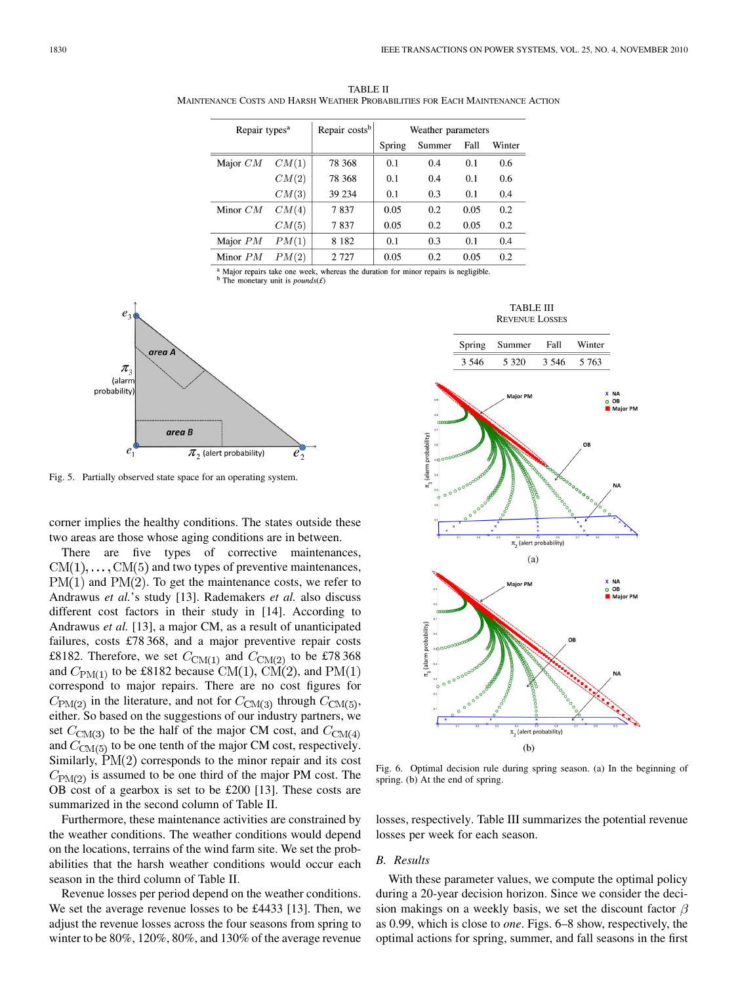| Repair types <sup>a</sup> |       | Repair costs <sup>b</sup> | Weather parameters |        |      |        |  |
|---------------------------|-------|---------------------------|--------------------|--------|------|--------|--|
|                           |       |                           | Spring             | Summer | Fall | Winter |  |
| Major $CM$                | CM(1) | 78 368                    | 0.1                | 0.4    | 0.1  | 0.6    |  |
|                           | CM(2) | 78 368                    | 0.1                | 0.4    | 0.1  | 0.6    |  |
|                           | CM(3) | 39 234                    | 0.1                | 0.3    | 0.1  | 0.4    |  |
| Minor $CM$                | CM(4) | 7837                      | 0.05               | 0.2    | 0.05 | 0.2    |  |
|                           | CM(5) | 7837                      | 0.05               | 0.2    | 0.05 | 0.2    |  |
| Major $PM$                | PM(1) | 8 1 8 2                   | 0.1                | 0.3    | 0.1  | 0.4    |  |
| Minor $PM$                | PM(2) | 2 727                     | 0.05               | 0.2    | 0.05 | 0.2    |  |

TABLE II MAINTENANCE COSTS AND HARSH WEATHER PROBABILITIES FOR EACH MAINTENANCE ACTION

<sup>a</sup> Major repairs take one week, whereas the duration for minor repairs is negligible. <sup>b</sup> The monetary unit is *pounds(f)* 



Fig. 5. Partially observed state space for an operating system.

corner implies the healthy conditions. The states outside these two areas are those whose aging conditions are in between.

There are five types of corrective maintenances,  $CM(1), \ldots, CM(5)$  and two types of preventive maintenances,  $PM(1)$  and  $PM(2)$ . To get the maintenance costs, we refer to Andrawus *et al.*'s study [13]. Rademakers *et al.* also discuss different cost factors in their study in [14]. According to Andrawus *et al.* [13], a major CM, as a result of unanticipated failures, costs £78 368, and a major preventive repair costs £8182. Therefore, we set  $C_{\text{CM}(1)}$  and  $C_{\text{CM}(2)}$  to be £78 368 and  $C_{\text{PM}(1)}$  to be £8182 because CM(1), CM(2), and PM(1) correspond to major repairs. There are no cost figures for  $C_{\text{PM}(2)}$  in the literature, and not for  $C_{\text{CM}(3)}$  through  $C_{\text{CM}(5)}$ , either. So based on the suggestions of our industry partners, we set  $C_{\text{CM}(3)}$  to be the half of the major CM cost, and  $C_{\text{CM}(4)}$ and  $C_{CM(5)}$  to be one tenth of the major CM cost, respectively. Similarly,  $PM(2)$  corresponds to the minor repair and its cost  $C_{\text{PM}(2)}$  is assumed to be one third of the major PM cost. The OB cost of a gearbox is set to be £200 [13]. These costs are summarized in the second column of Table II.

Furthermore, these maintenance activities are constrained by the weather conditions. The weather conditions would depend on the locations, terrains of the wind farm site. We set the probabilities that the harsh weather conditions would occur each season in the third column of Table II.

Revenue losses per period depend on the weather conditions. We set the average revenue losses to be £4433 [13]. Then, we adjust the revenue losses across the four seasons from spring to winter to be 80%, 120%, 80%, and 130% of the average revenue





Fig. 6. Optimal decision rule during spring season. (a) In the beginning of spring. (b) At the end of spring.

losses, respectively. Table III summarizes the potential revenue losses per week for each season.

# *B. Results*

With these parameter values, we compute the optimal policy during a 20-year decision horizon. Since we consider the decision makings on a weekly basis, we set the discount factor  $\beta$ as 0.99, which is close to *one*. Figs. 6–8 show, respectively, the optimal actions for spring, summer, and fall seasons in the first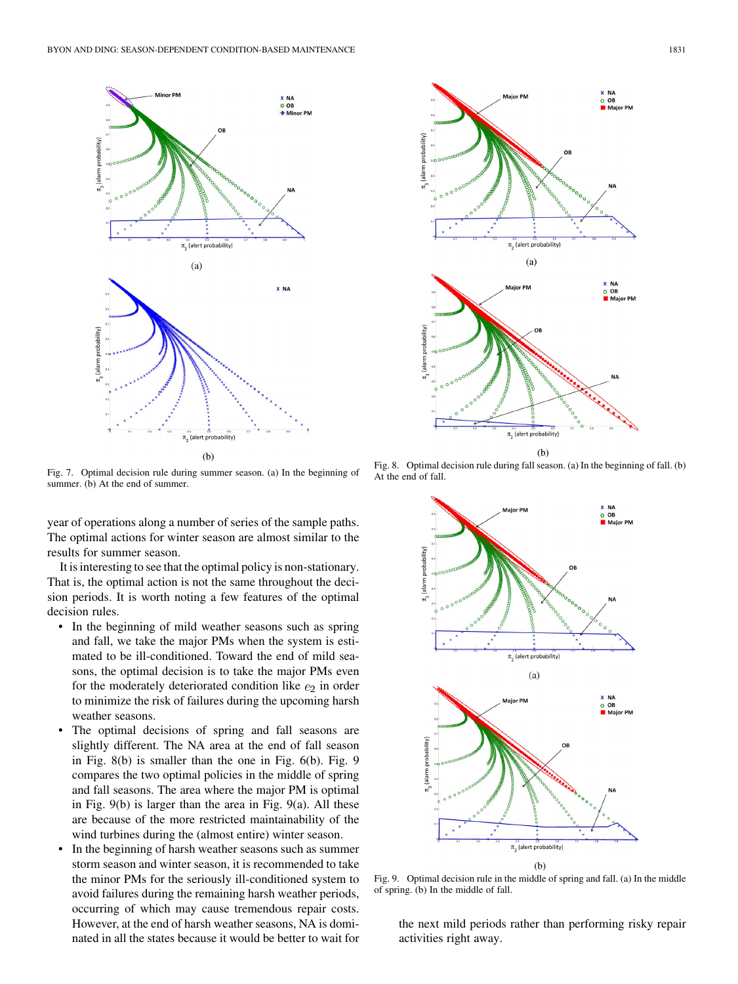

Fig. 7. Optimal decision rule during summer season. (a) In the beginning of summer. (b) At the end of summer.

year of operations along a number of series of the sample paths. The optimal actions for winter season are almost similar to the results for summer season.

It is interesting to see that the optimal policy is non-stationary. That is, the optimal action is not the same throughout the decision periods. It is worth noting a few features of the optimal decision rules.

- In the beginning of mild weather seasons such as spring and fall, we take the major PMs when the system is estimated to be ill-conditioned. Toward the end of mild seasons, the optimal decision is to take the major PMs even for the moderately deteriorated condition like  $e_2$  in order to minimize the risk of failures during the upcoming harsh weather seasons.
- The optimal decisions of spring and fall seasons are slightly different. The NA area at the end of fall season in Fig. 8(b) is smaller than the one in Fig. 6(b). Fig. 9 compares the two optimal policies in the middle of spring and fall seasons. The area where the major PM is optimal in Fig. 9(b) is larger than the area in Fig. 9(a). All these are because of the more restricted maintainability of the wind turbines during the (almost entire) winter season.
- In the beginning of harsh weather seasons such as summer storm season and winter season, it is recommended to take the minor PMs for the seriously ill-conditioned system to avoid failures during the remaining harsh weather periods, occurring of which may cause tremendous repair costs. However, at the end of harsh weather seasons, NA is dominated in all the states because it would be better to wait for



Fig. 8. Optimal decision rule during fall season. (a) In the beginning of fall. (b) At the end of fall.



Fig. 9. Optimal decision rule in the middle of spring and fall. (a) In the middle of spring. (b) In the middle of fall.

the next mild periods rather than performing risky repair activities right away.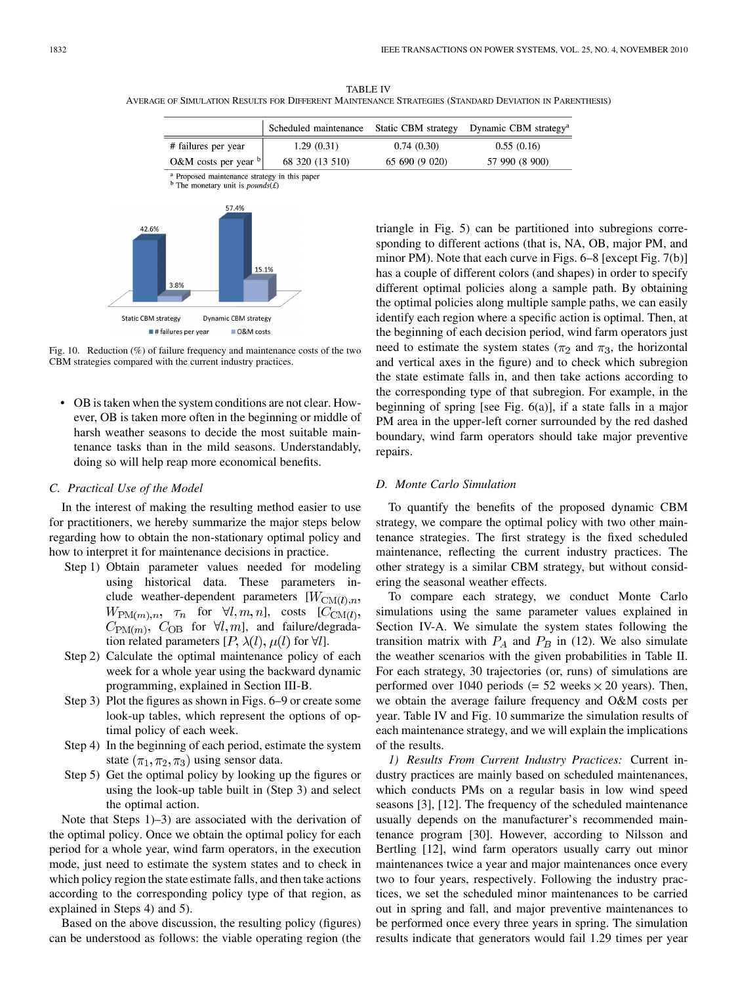TABLE IV AVERAGE OF SIMULATION RESULTS FOR DIFFERENT MAINTENANCE STRATEGIES (STANDARD DEVIATION IN PARENTHESIS)

|                                                                                                           | Scheduled maintenance | Static CBM strategy | Dynamic CBM strategy <sup>a</sup> |
|-----------------------------------------------------------------------------------------------------------|-----------------------|---------------------|-----------------------------------|
| # failures per year                                                                                       | 1.29(0.31)            | 0.74(0.30)          | 0.55(0.16)                        |
| O&M costs per year $\frac{b}{c}$                                                                          | 68 320 (13 510)       | 65 690 (9 020)      | 57 990 (8 900)                    |
| <sup>a</sup> Proposed maintenance strategy in this paper<br><sup>b</sup> The monetary unit is $pounds(f)$ |                       |                     |                                   |
| 57.4%                                                                                                     |                       |                     |                                   |



Fig. 10. Reduction (%) of failure frequency and maintenance costs of the two CBM strategies compared with the current industry practices.

• OB is taken when the system conditions are not clear. However, OB is taken more often in the beginning or middle of harsh weather seasons to decide the most suitable maintenance tasks than in the mild seasons. Understandably, doing so will help reap more economical benefits.

#### *C. Practical Use of the Model*

In the interest of making the resulting method easier to use for practitioners, we hereby summarize the major steps below regarding how to obtain the non-stationary optimal policy and how to interpret it for maintenance decisions in practice.

- Step 1) Obtain parameter values needed for modeling using historical data. These parameters include weather-dependent parameters  $[W_{CM(l),n},$  $W_{\text{PM}(m),n}$ ,  $\tau_n$  for  $\forall l,m,n$ ], costs  $[C_{\text{CM}(l)},$  $C_{\text{PM}(m)}$ ,  $C_{\text{OB}}$  for  $\forall l, m$ ], and failure/degradation related parameters  $[P, \lambda(l), \mu(l)$  for  $\forall l$ .
- Step 2) Calculate the optimal maintenance policy of each week for a whole year using the backward dynamic programming, explained in Section III-B.
- Step 3) Plot the figures as shown in Figs. 6–9 or create some look-up tables, which represent the options of optimal policy of each week.
- Step 4) In the beginning of each period, estimate the system state  $(\pi_1, \pi_2, \pi_3)$  using sensor data.
- Step 5) Get the optimal policy by looking up the figures or using the look-up table built in (Step 3) and select the optimal action.

Note that Steps 1)–3) are associated with the derivation of the optimal policy. Once we obtain the optimal policy for each period for a whole year, wind farm operators, in the execution mode, just need to estimate the system states and to check in which policy region the state estimate falls, and then take actions according to the corresponding policy type of that region, as explained in Steps 4) and 5).

Based on the above discussion, the resulting policy (figures) can be understood as follows: the viable operating region (the

triangle in Fig. 5) can be partitioned into subregions corresponding to different actions (that is, NA, OB, major PM, and minor PM). Note that each curve in Figs. 6–8 [except Fig. 7(b)] has a couple of different colors (and shapes) in order to specify different optimal policies along a sample path. By obtaining the optimal policies along multiple sample paths, we can easily identify each region where a specific action is optimal. Then, at the beginning of each decision period, wind farm operators just need to estimate the system states ( $\pi_2$  and  $\pi_3$ , the horizontal and vertical axes in the figure) and to check which subregion the state estimate falls in, and then take actions according to the corresponding type of that subregion. For example, in the beginning of spring [see Fig. 6(a)], if a state falls in a major PM area in the upper-left corner surrounded by the red dashed boundary, wind farm operators should take major preventive repairs.

#### *D. Monte Carlo Simulation*

To quantify the benefits of the proposed dynamic CBM strategy, we compare the optimal policy with two other maintenance strategies. The first strategy is the fixed scheduled maintenance, reflecting the current industry practices. The other strategy is a similar CBM strategy, but without considering the seasonal weather effects.

To compare each strategy, we conduct Monte Carlo simulations using the same parameter values explained in Section IV-A. We simulate the system states following the transition matrix with  $P_A$  and  $P_B$  in (12). We also simulate the weather scenarios with the given probabilities in Table II. For each strategy, 30 trajectories (or, runs) of simulations are performed over 1040 periods  $(= 52$  weeks  $\times 20$  years). Then, we obtain the average failure frequency and O&M costs per year. Table IV and Fig. 10 summarize the simulation results of each maintenance strategy, and we will explain the implications of the results.

*1) Results From Current Industry Practices:* Current industry practices are mainly based on scheduled maintenances, which conducts PMs on a regular basis in low wind speed seasons [3], [12]. The frequency of the scheduled maintenance usually depends on the manufacturer's recommended maintenance program [30]. However, according to Nilsson and Bertling [12], wind farm operators usually carry out minor maintenances twice a year and major maintenances once every two to four years, respectively. Following the industry practices, we set the scheduled minor maintenances to be carried out in spring and fall, and major preventive maintenances to be performed once every three years in spring. The simulation results indicate that generators would fail 1.29 times per year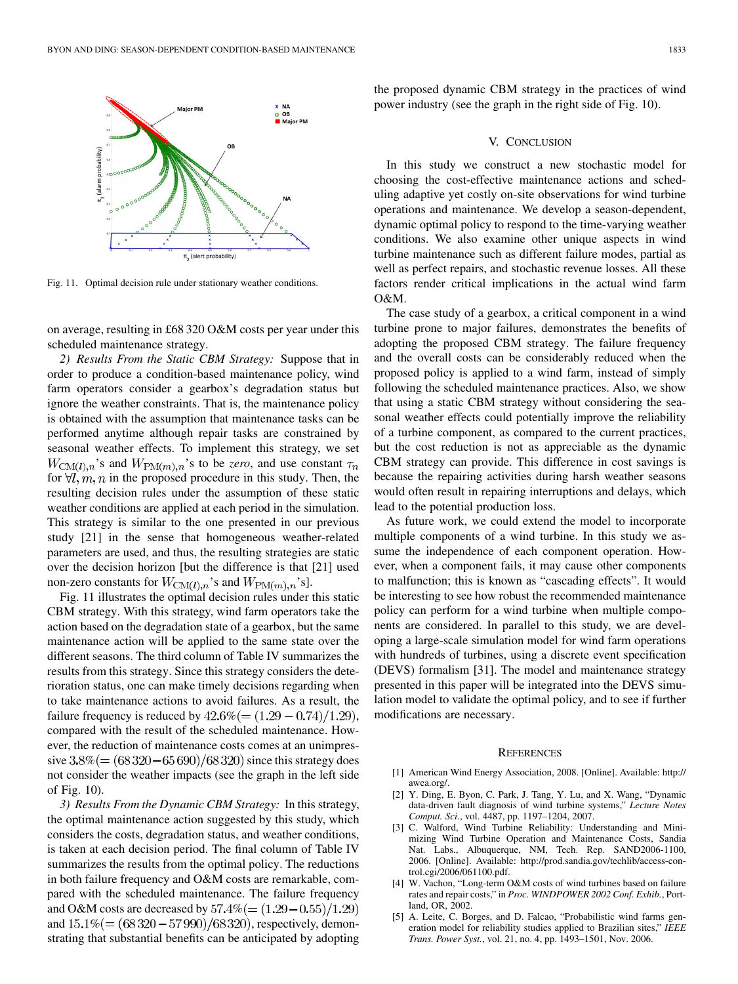

Fig. 11. Optimal decision rule under stationary weather conditions.

on average, resulting in £68 320 O&M costs per year under this scheduled maintenance strategy.

*2) Results From the Static CBM Strategy:* Suppose that in order to produce a condition-based maintenance policy, wind farm operators consider a gearbox's degradation status but ignore the weather constraints. That is, the maintenance policy is obtained with the assumption that maintenance tasks can be performed anytime although repair tasks are constrained by seasonal weather effects. To implement this strategy, we set  $W_{\text{CM}(l),n}$ 's and  $W_{\text{PM}(m),n}$ 's to be *zero*, and use constant  $\tau_n$ for  $\forall l, m, n$  in the proposed procedure in this study. Then, the resulting decision rules under the assumption of these static weather conditions are applied at each period in the simulation. This strategy is similar to the one presented in our previous study [21] in the sense that homogeneous weather-related parameters are used, and thus, the resulting strategies are static over the decision horizon [but the difference is that [21] used non-zero constants for  $W_{\text{CM}(l),n}$ 's and  $W_{\text{PM}(m),n}$ 's].

Fig. 11 illustrates the optimal decision rules under this static CBM strategy. With this strategy, wind farm operators take the action based on the degradation state of a gearbox, but the same maintenance action will be applied to the same state over the different seasons. The third column of Table IV summarizes the results from this strategy. Since this strategy considers the deterioration status, one can make timely decisions regarding when to take maintenance actions to avoid failures. As a result, the failure frequency is reduced by  $42.6\% = (1.29 - 0.74)/1.29$ , compared with the result of the scheduled maintenance. However, the reduction of maintenance costs comes at an unimpressive  $3.8\%$  (=  $(68320 - 65690)/68320$ ) since this strategy does not consider the weather impacts (see the graph in the left side of Fig. 10).

*3) Results From the Dynamic CBM Strategy:* In this strategy, the optimal maintenance action suggested by this study, which considers the costs, degradation status, and weather conditions, is taken at each decision period. The final column of Table IV summarizes the results from the optimal policy. The reductions in both failure frequency and O&M costs are remarkable, compared with the scheduled maintenance. The failure frequency and O&M costs are decreased by  $57.4\% (= (1.29 - 0.55)/1.29)$ and  $15.1\%$  (=  $(68320 - 57990)/68320$ ), respectively, demonstrating that substantial benefits can be anticipated by adopting

the proposed dynamic CBM strategy in the practices of wind power industry (see the graph in the right side of Fig. 10).

# V. CONCLUSION

In this study we construct a new stochastic model for choosing the cost-effective maintenance actions and scheduling adaptive yet costly on-site observations for wind turbine operations and maintenance. We develop a season-dependent, dynamic optimal policy to respond to the time-varying weather conditions. We also examine other unique aspects in wind turbine maintenance such as different failure modes, partial as well as perfect repairs, and stochastic revenue losses. All these factors render critical implications in the actual wind farm O&M.

The case study of a gearbox, a critical component in a wind turbine prone to major failures, demonstrates the benefits of adopting the proposed CBM strategy. The failure frequency and the overall costs can be considerably reduced when the proposed policy is applied to a wind farm, instead of simply following the scheduled maintenance practices. Also, we show that using a static CBM strategy without considering the seasonal weather effects could potentially improve the reliability of a turbine component, as compared to the current practices, but the cost reduction is not as appreciable as the dynamic CBM strategy can provide. This difference in cost savings is because the repairing activities during harsh weather seasons would often result in repairing interruptions and delays, which lead to the potential production loss.

As future work, we could extend the model to incorporate multiple components of a wind turbine. In this study we assume the independence of each component operation. However, when a component fails, it may cause other components to malfunction; this is known as "cascading effects". It would be interesting to see how robust the recommended maintenance policy can perform for a wind turbine when multiple components are considered. In parallel to this study, we are developing a large-scale simulation model for wind farm operations with hundreds of turbines, using a discrete event specification (DEVS) formalism [31]. The model and maintenance strategy presented in this paper will be integrated into the DEVS simulation model to validate the optimal policy, and to see if further modifications are necessary.

#### **REFERENCES**

- [1] American Wind Energy Association, 2008. [Online]. Available: http:// awea.org/.
- [2] Y. Ding, E. Byon, C. Park, J. Tang, Y. Lu, and X. Wang, "Dynamic data-driven fault diagnosis of wind turbine systems," *Lecture Notes Comput. Sci.*, vol. 4487, pp. 1197–1204, 2007.
- [3] C. Walford, Wind Turbine Reliability: Understanding and Minimizing Wind Turbine Operation and Maintenance Costs, Sandia Nat. Labs., Albuquerque, NM, Tech. Rep. SAND2006-1100, 2006. [Online]. Available: http://prod.sandia.gov/techlib/access-control.cgi/2006/061100.pdf.
- [4] W. Vachon, "Long-term O&M costs of wind turbines based on failure rates and repair costs," in *Proc. WINDPOWER 2002 Conf. Exhib.*, Portland, OR, 2002.
- [5] A. Leite, C. Borges, and D. Falcao, "Probabilistic wind farms generation model for reliability studies applied to Brazilian sites," *IEEE Trans. Power Syst.*, vol. 21, no. 4, pp. 1493–1501, Nov. 2006.